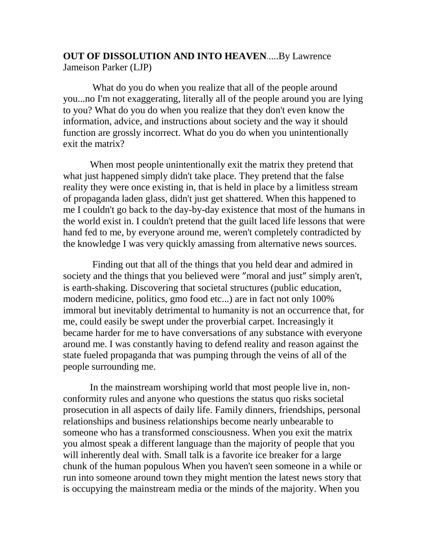## **OUT OF DISSOLUTION AND INTO HEAVEN**.....By Lawrence Jameison Parker (LJP)

What do you do when you realize that all of the people around you...no I'm not exaggerating, literally all of the people around you are lying to you? What do you do when you realize that they don't even know the information, advice, and instructions about society and the way it should function are grossly incorrect. What do you do when you unintentionally exit the matrix?

 When most people unintentionally exit the matrix they pretend that what just happened simply didn't take place. They pretend that the false reality they were once existing in, that is held in place by a limitless stream of propaganda laden glass, didn't just get shattered. When this happened to me I couldn't go back to the day-by-day existence that most of the humans in the world exist in. I couldn't pretend that the guilt laced life lessons that were hand fed to me, by everyone around me, weren't completely contradicted by the knowledge I was very quickly amassing from alternative news sources.

 Finding out that all of the things that you held dear and admired in society and the things that you believed were "moral and just" simply aren't, is earth-shaking. Discovering that societal structures (public education, modern medicine, politics, gmo food etc...) are in fact not only 100% immoral but inevitably detrimental to humanity is not an occurrence that, for me, could easily be swept under the proverbial carpet. Increasingly it became harder for me to have conversations of any substance with everyone around me. I was constantly having to defend reality and reason against the state fueled propaganda that was pumping through the veins of all of the people surrounding me.

 In the mainstream worshiping world that most people live in, nonconformity rules and anyone who questions the status quo risks societal prosecution in all aspects of daily life. Family dinners, friendships, personal relationships and business relationships become nearly unbearable to someone who has a transformed consciousness. When you exit the matrix you almost speak a different language than the majority of people that you will inherently deal with. Small talk is a favorite ice breaker for a large chunk of the human populous When you haven't seen someone in a while or run into someone around town they might mention the latest news story that is occupying the mainstream media or the minds of the majority. When you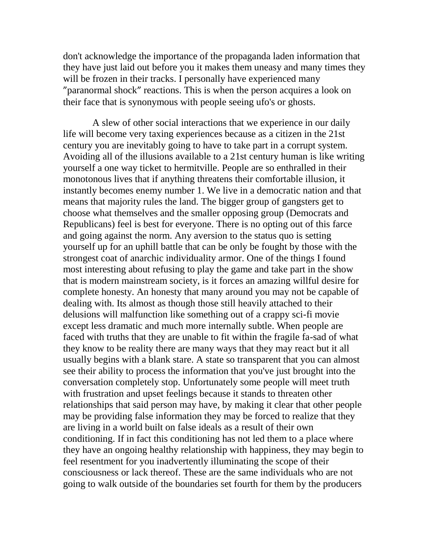don't acknowledge the importance of the propaganda laden information that they have just laid out before you it makes them uneasy and many times they will be frozen in their tracks. I personally have experienced many "paranormal shock" reactions. This is when the person acquires a look on their face that is synonymous with people seeing ufo's or ghosts.

 A slew of other social interactions that we experience in our daily life will become very taxing experiences because as a citizen in the 21st century you are inevitably going to have to take part in a corrupt system. Avoiding all of the illusions available to a 21st century human is like writing yourself a one way ticket to hermitville. People are so enthralled in their monotonous lives that if anything threatens their comfortable illusion, it instantly becomes enemy number 1. We live in a democratic nation and that means that majority rules the land. The bigger group of gangsters get to choose what themselves and the smaller opposing group (Democrats and Republicans) feel is best for everyone. There is no opting out of this farce and going against the norm. Any aversion to the status quo is setting yourself up for an uphill battle that can be only be fought by those with the strongest coat of anarchic individuality armor. One of the things I found most interesting about refusing to play the game and take part in the show that is modern mainstream society, is it forces an amazing willful desire for complete honesty. An honesty that many around you may not be capable of dealing with. Its almost as though those still heavily attached to their delusions will malfunction like something out of a crappy sci-fi movie except less dramatic and much more internally subtle. When people are faced with truths that they are unable to fit within the fragile fa-sad of what they know to be reality there are many ways that they may react but it all usually begins with a blank stare. A state so transparent that you can almost see their ability to process the information that you've just brought into the conversation completely stop. Unfortunately some people will meet truth with frustration and upset feelings because it stands to threaten other relationships that said person may have, by making it clear that other people may be providing false information they may be forced to realize that they are living in a world built on false ideals as a result of their own conditioning. If in fact this conditioning has not led them to a place where they have an ongoing healthy relationship with happiness, they may begin to feel resentment for you inadvertently illuminating the scope of their consciousness or lack thereof. These are the same individuals who are not going to walk outside of the boundaries set fourth for them by the producers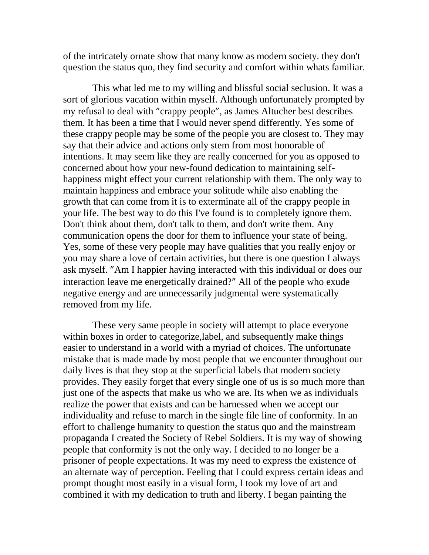of the intricately ornate show that many know as modern society. they don't question the status quo, they find security and comfort within whats familiar.

 This what led me to my willing and blissful social seclusion. It was a sort of glorious vacation within myself. Although unfortunately prompted by my refusal to deal with "crappy people", as James Altucher best describes them. It has been a time that I would never spend differently. Yes some of these crappy people may be some of the people you are closest to. They may say that their advice and actions only stem from most honorable of intentions. It may seem like they are really concerned for you as opposed to concerned about how your new-found dedication to maintaining selfhappiness might effect your current relationship with them. The only way to maintain happiness and embrace your solitude while also enabling the growth that can come from it is to exterminate all of the crappy people in your life. The best way to do this I've found is to completely ignore them. Don't think about them, don't talk to them, and don't write them. Any communication opens the door for them to influence your state of being. Yes, some of these very people may have qualities that you really enjoy or you may share a love of certain activities, but there is one question I always ask myself. "Am I happier having interacted with this individual or does our interaction leave me energetically drained?" All of the people who exude negative energy and are unnecessarily judgmental were systematically removed from my life.

 These very same people in society will attempt to place everyone within boxes in order to categorize,label, and subsequently make things easier to understand in a world with a myriad of choices. The unfortunate mistake that is made made by most people that we encounter throughout our daily lives is that they stop at the superficial labels that modern society provides. They easily forget that every single one of us is so much more than just one of the aspects that make us who we are. Its when we as individuals realize the power that exists and can be harnessed when we accept our individuality and refuse to march in the single file line of conformity. In an effort to challenge humanity to question the status quo and the mainstream propaganda I created the Society of Rebel Soldiers. It is my way of showing people that conformity is not the only way. I decided to no longer be a prisoner of people expectations. It was my need to express the existence of an alternate way of perception. Feeling that I could express certain ideas and prompt thought most easily in a visual form, I took my love of art and combined it with my dedication to truth and liberty. I began painting the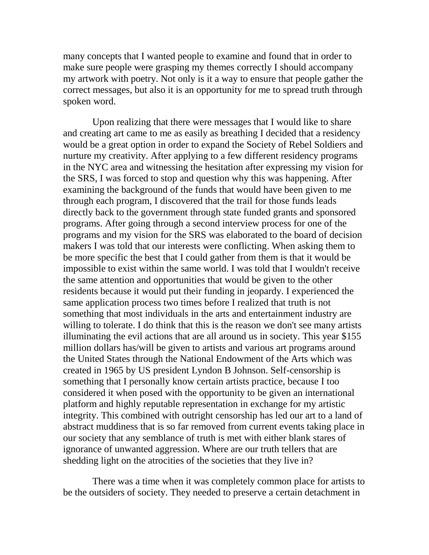many concepts that I wanted people to examine and found that in order to make sure people were grasping my themes correctly I should accompany my artwork with poetry. Not only is it a way to ensure that people gather the correct messages, but also it is an opportunity for me to spread truth through spoken word.

 Upon realizing that there were messages that I would like to share and creating art came to me as easily as breathing I decided that a residency would be a great option in order to expand the Society of Rebel Soldiers and nurture my creativity. After applying to a few different residency programs in the NYC area and witnessing the hesitation after expressing my vision for the SRS, I was forced to stop and question why this was happening. After examining the background of the funds that would have been given to me through each program, I discovered that the trail for those funds leads directly back to the government through state funded grants and sponsored programs. After going through a second interview process for one of the programs and my vision for the SRS was elaborated to the board of decision makers I was told that our interests were conflicting. When asking them to be more specific the best that I could gather from them is that it would be impossible to exist within the same world. I was told that I wouldn't receive the same attention and opportunities that would be given to the other residents because it would put their funding in jeopardy. I experienced the same application process two times before I realized that truth is not something that most individuals in the arts and entertainment industry are willing to tolerate. I do think that this is the reason we don't see many artists illuminating the evil actions that are all around us in society. This year \$155 million dollars has/will be given to artists and various art programs around the United States through the National Endowment of the Arts which was created in 1965 by US president Lyndon B Johnson. Self-censorship is something that I personally know certain artists practice, because I too considered it when posed with the opportunity to be given an international platform and highly reputable representation in exchange for my artistic integrity. This combined with outright censorship has led our art to a land of abstract muddiness that is so far removed from current events taking place in our society that any semblance of truth is met with either blank stares of ignorance of unwanted aggression. Where are our truth tellers that are shedding light on the atrocities of the societies that they live in?

 There was a time when it was completely common place for artists to be the outsiders of society. They needed to preserve a certain detachment in